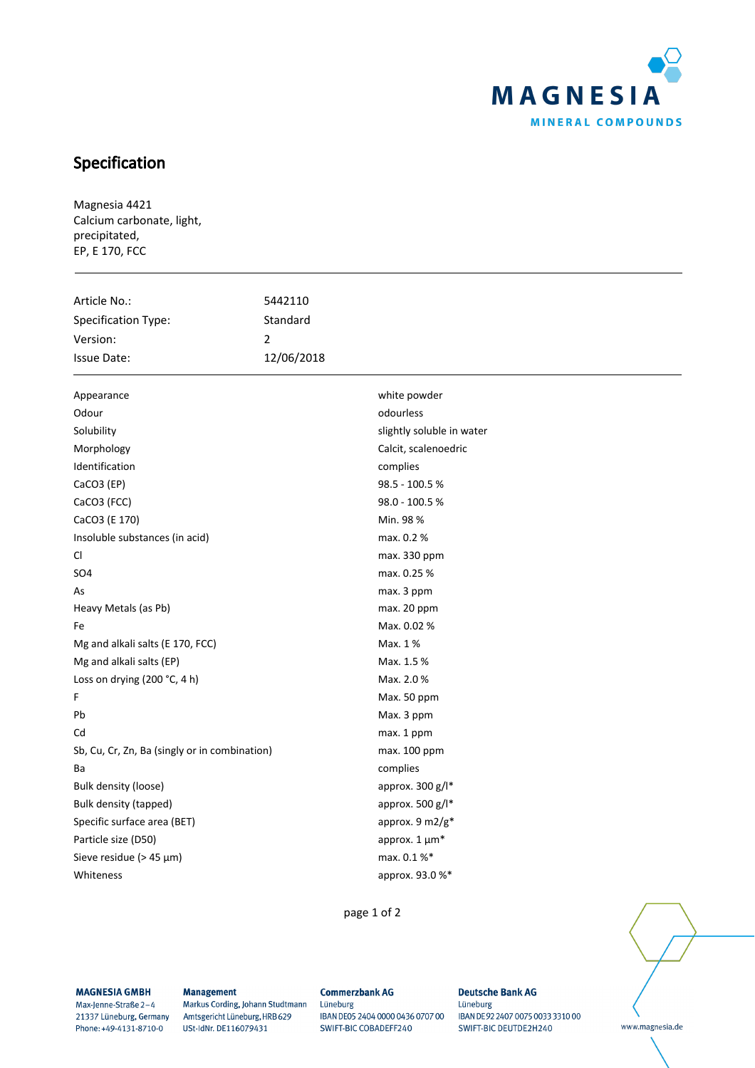

# Specification

Magnesia 4421 Calcium carbonate, light, precipitated, EP, E 170, FCC

| Article No.:                                  | 5442110        |                           |
|-----------------------------------------------|----------------|---------------------------|
| Specification Type:                           | Standard       |                           |
| Version:                                      | $\overline{2}$ |                           |
| <b>Issue Date:</b>                            | 12/06/2018     |                           |
| Appearance                                    |                | white powder              |
| Odour                                         |                | odourless                 |
| Solubility                                    |                | slightly soluble in water |
| Morphology                                    |                | Calcit, scalenoedric      |
| Identification                                |                | complies                  |
| CaCO3 (EP)                                    |                | 98.5 - 100.5 %            |
| CaCO3 (FCC)                                   |                | 98.0 - 100.5 %            |
| CaCO3 (E 170)                                 |                | Min. 98 %                 |
| Insoluble substances (in acid)                |                | max. 0.2 %                |
| CI.                                           |                | max. 330 ppm              |
| SO <sub>4</sub>                               |                | max. 0.25 %               |
| As                                            |                | max. 3 ppm                |
| Heavy Metals (as Pb)                          |                | max. 20 ppm               |
| Fe                                            |                | Max. 0.02 %               |
| Mg and alkali salts (E 170, FCC)              |                | Max. 1%                   |
| Mg and alkali salts (EP)                      |                | Max. 1.5 %                |
| Loss on drying (200 °C, 4 h)                  |                | Max. 2.0 %                |
| F                                             |                | Max. 50 ppm               |
| Pb                                            |                | Max. 3 ppm                |
| Cd                                            |                | max. 1 ppm                |
| Sb, Cu, Cr, Zn, Ba (singly or in combination) |                | max. 100 ppm              |
| Ba                                            |                | complies                  |
| <b>Bulk density (loose)</b>                   |                | approx. 300 g/l*          |
| Bulk density (tapped)                         |                | approx. 500 g/l*          |
| Specific surface area (BET)                   |                | approx. 9 m2/g*           |
| Particle size (D50)                           |                | approx. $1 \mu m^*$       |
| Sieve residue ( $> 45 \mu m$ )                |                | max. 0.1 %*               |
| Whiteness                                     |                | approx. 93.0%*            |
|                                               |                |                           |

page 1 of 2

www.magnesia.de

### **MAGNESIA GMBH**

Max-Jenne-Straße 2-4 21337 Lüneburg, Germany Phone: +49-4131-8710-0

#### **Management**

Markus Cording, Johann Studtmann Amtsgericht Lüneburg, HRB 629 USt-IdNr. DE116079431

#### **Commerzbank AG** Lüneburg IBAN DE05 2404 0000 0436 0707 00 SWIFT-BIC COBADEFF240

**Deutsche Bank AG** Lüneburg IBAN DE 92 2407 0075 0033 3310 00 SWIFT-BIC DEUTDE2H240